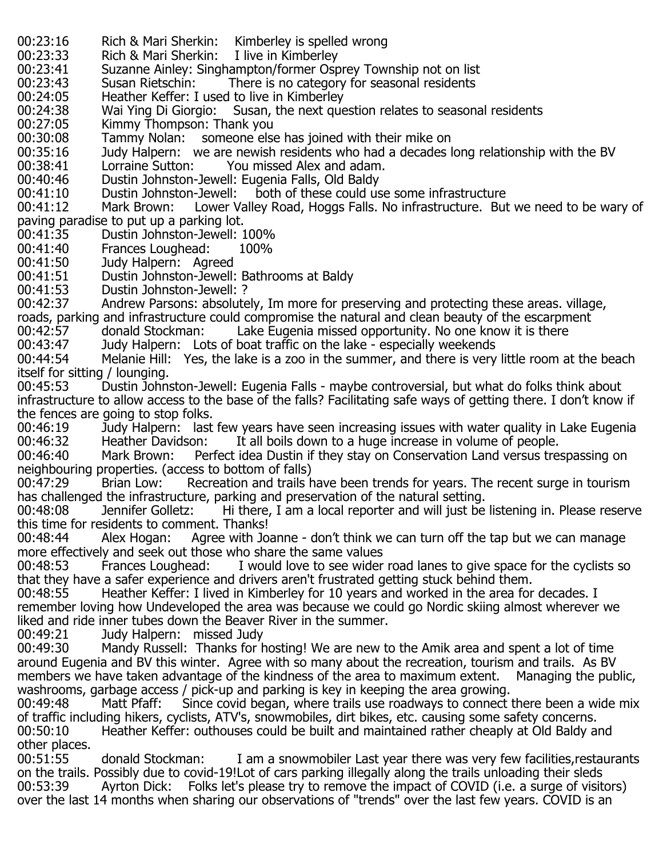- 00:23:16 Rich & Mari Sherkin: Kimberley is spelled wrong<br>00:23:33 Rich & Mari Sherkin: I live in Kimberley
- 00:23:33 Rich & Mari Sherkin:<br>00:23:41 Suzanne Ainley: Singl
- 00:23:41 Suzanne Ainley: Singhampton/former Osprey Township not on list<br>00:23:43 Susan Rietschin: There is no category for seasonal residents
- 00:23:43 Susan Rietschin: There is no category for seasonal residents<br>00:24:05 Heather Keffer: I used to live in Kimberley
- 00:24:05 Heather Keffer: I used to live in Kimberley<br>00:24:38 Wai Ying Di Giorgio: Susan, the next que
- 00:24:38 Mai Ying Di Giorgio: Susan, the next question relates to seasonal residents<br>00:27:05 Kimmy Thompson: Thank you
- 00:27:05 Kimmy Thompson: Thank you<br>00:30:08 Tammy Nolan: someone else
- 00:30:08 Tammy Nolan: someone else has joined with their mike on<br>00:35:16 Judy Halpern: we are newish residents who had a decades l
- 00:35:16 Judy Halpern: we are newish residents who had a decades long relationship with the BV<br>00:38:41 Lorraine Sutton: You missed Alex and adam.
- 00:38:41 Lorraine Sutton: You missed Alex and adam.<br>00:40:46 Dustin Johnston-Jewell: Eugenia Falls, Old Baldy
- 00:40:46 Dustin Johnston-Jewell: Eugenia Falls, Old Baldy<br>00:41:10 Dustin Johnston-Jewell: both of these could us
- 00:41:10 Dustin Johnston-Jewell: both of these could use some infrastructure<br>00:41:12 Mark Brown: Lower Valley Road, Hoggs Falls, No infrastructure. But
- Lower Valley Road, Hoggs Falls. No infrastructure. But we need to be wary of
- paving paradise to put up a parking lot. 00:41:35 Dustin Johnston-Jewell: 100%<br>00:41:40 Frances Loughead: 100%
- 00:41:40 Frances Loughead:<br>00:41:50 Judy Halpern: Agr
- 00:41:50 Judy Halpern: Agreed<br>00:41:51 Dustin Johnston-Jewell:
- 00:41:51 Dustin Johnston-Jewell: Bathrooms at Baldy<br>00:41:53 Dustin Johnston-Jewell: ?
- 
- 00:41:53 Dustin Johnston-Jewell: ?<br>00:42:37 Andrew Parsons: absolute Andrew Parsons: absolutely, Im more for preserving and protecting these areas. village,
- roads, parking and infrastructure could compromise the natural and clean beauty of the escarpment 00:42:57 donald Stockman: Lake Eugenia missed opportunity. No one know it is there<br>00:43:47 Judy Halpern: Lots of boat traffic on the lake - especially weekends
- 00:43:47 Judy Halpern: Lots of boat traffic on the lake especially weekends<br>00:44:54 Melanie Hill: Yes, the lake is a zoo in the summer, and there is verv
- Melanie Hill: Yes, the lake is a zoo in the summer, and there is very little room at the beach itself for sitting / lounging.
- Dustin Johnston-Jewell: Eugenia Falls maybe controversial, but what do folks think about infrastructure to allow access to the base of the falls? Facilitating safe ways of getting there. I don't know if
- the fences are going to stop folks. 00:46:19 Judy Halpern: last few years have seen increasing issues with water quality in Lake Eugenia<br>00:46:32 Heather Davidson: It all boils down to a huge increase in volume of people. 00:46:32 Heather Davidson: It all boils down to a huge increase in volume of people.<br>00:46:40 Mark Brown: Perfect idea Dustin if they stay on Conservation Land versus tre
- Perfect idea Dustin if they stay on Conservation Land versus trespassing on neighbouring properties. (access to bottom of falls)<br>00:47:29 Brian Low: Recreation and trails h
- Recreation and trails have been trends for years. The recent surge in tourism has challenged the infrastructure, parking and preservation of the natural setting.
- Hi there, I am a local reporter and will just be listening in. Please reserve this time for residents to comment. Thanks!<br>00:48:44 Alex Hogan: Agree with Jo
- Agree with Joanne don't think we can turn off the tap but we can manage more effectively and seek out those who share the same values<br>00:48:53 Frances Loughead: I would love to see wider
- I would love to see wider road lanes to give space for the cyclists so that they have a safer experience and drivers aren't frustrated getting stuck behind them.<br>00:48:55 Heather Keffer: I lived in Kimberley for 10 years and worked in the area for
- Heather Keffer: I lived in Kimberley for 10 years and worked in the area for decades. I remember loving how Undeveloped the area was because we could go Nordic skiing almost wherever we liked and ride inner tubes down the Beaver River in the summer.<br>00:49:21 Judy Halpern: missed Judy
- 00:49:21 Judy Halpern: missed Judy<br>00:49:30 Mandy Russell: Thanks for h
- Mandy Russell: Thanks for hosting! We are new to the Amik area and spent a lot of time around Eugenia and BV this winter. Agree with so many about the recreation, tourism and trails. As BV members we have taken advantage of the kindness of the area to maximum extent. Managing the public, washrooms, garbage access / pick-up and parking is key in keeping the area growing.<br>00:49:48 Matt Pfaff: Since covid began, where trails use roadways to connect
- Since covid began, where trails use roadways to connect there been a wide mix of traffic including hikers, cyclists, ATV's, snowmobiles, dirt bikes, etc. causing some safety concerns.<br>00:50:10 Heather Keffer: outhouses could be built and maintained rather cheaply at Old Baldy a Heather Keffer: outhouses could be built and maintained rather cheaply at Old Baldy and other places.<br>00:51:55
- donald Stockman: I am a snowmobiler Last year there was very few facilities, restaurants on the trails. Possibly due to covid-19!Lot of cars parking illegally along the trails unloading their sleds<br>00:53:39 Ayrton Dick: Folks let's please try to remove the impact of COVID (i.e. a surge of visit Ayrton Dick: Folks let's please try to remove the impact of COVID (i.e. a surge of visitors) over the last 14 months when sharing our observations of "trends" over the last few years. COVID is an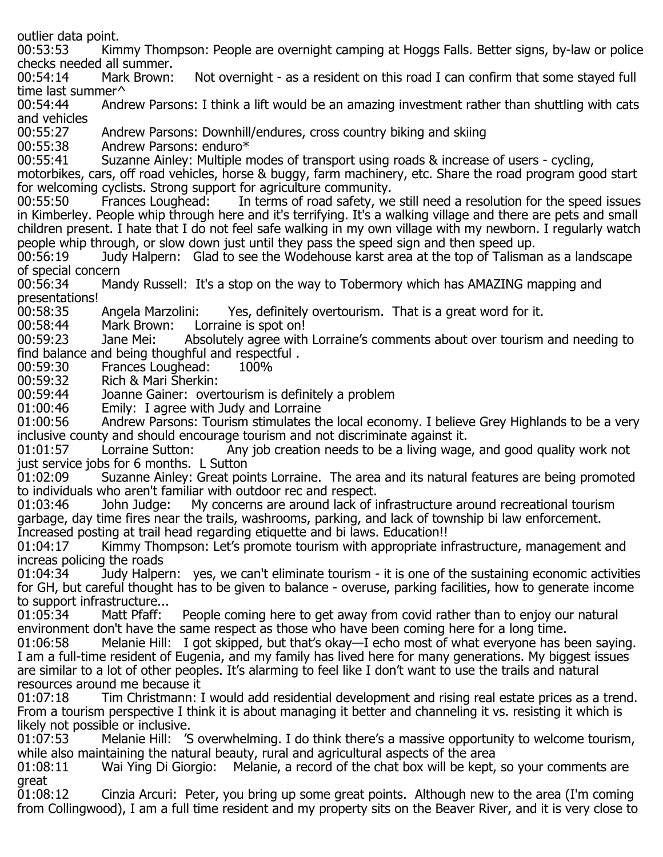outlier data point.<br>00:53:53 Kim

Kimmy Thompson: People are overnight camping at Hoggs Falls. Better signs, by-law or police checks needed all summer.<br>00:54:14 Mark Brown:

Not overnight - as a resident on this road I can confirm that some stayed full time last summer<sup> $\wedge$ </sup> 00:54:44 Andr

Andrew Parsons: I think a lift would be an amazing investment rather than shuttling with cats and vehicles<br>00:55:27

00:55:27 Andrew Parsons: Downhill/endures, cross country biking and skiing  $00:55:38$  Andrew Parsons: enduro\*

00:55:38 Andrew Parsons: enduro\*<br>00:55:41 Suzanne Ainley: Multiple n

Suzanne Ainley: Multiple modes of transport using roads & increase of users - cycling,

motorbikes, cars, off road vehicles, horse & buggy, farm machinery, etc. Share the road program good start

for welcoming cyclists. Strong support for agriculture community.<br>00:55:50 Frances Loughead: In terms of road safety, we In terms of road safety, we still need a resolution for the speed issues in Kimberley. People whip through here and it's terrifying. It's a walking village and there are pets and small children present. I hate that I do not feel safe walking in my own village with my newborn. I regularly watch people whip through, or slow down just until they pass the speed sign and then speed up.<br>00:56:19 Judy Halpern: Glad to see the Wodehouse karst area at the top of Talisma

Judy Halpern: Glad to see the Wodehouse karst area at the top of Talisman as a landscape of special concern<br>00:56:34 Mar

00:56:34 Mandy Russell: It's a stop on the way to Tobermory which has AMAZING mapping and presentations!<br>00:58:35

00:58:35 Angela Marzolini: Yes, definitely overtourism. That is a great word for it.<br>00:58:44 Mark Brown: Lorraine is spot on!

00:58:44 Mark Brown: Lorraine is spot on!<br>00:59:23 Jane Mei: Absolutely agree with

Absolutely agree with Lorraine's comments about over tourism and needing to find balance and being thoughful and respectful.<br>00:59:30 Frances Loughead: 100%

00:59:30 Frances Loughead:<br>00:59:32 Rich & Mari Sherkin

00:59:32 Rich & Mari Sherkin:<br>00:59:44 Joanne Gainer: over

Joanne Gainer: overtourism is definitely a problem

01:00:46 Emily: I agree with Judy and Lorraine<br>01:00:56 Andrew Parsons: Tourism stimulates th

Andrew Parsons: Tourism stimulates the local economy. I believe Grey Highlands to be a very inclusive county and should encourage tourism and not discriminate against it.

Any job creation needs to be a living wage, and good quality work not just service jobs for 6 months. L Sutton

Suzanne Ainley: Great points Lorraine. The area and its natural features are being promoted to individuals who aren't familiar with outdoor rec and respect.<br>01:03:46 John Judge: My concerns are around lack of i

My concerns are around lack of infrastructure around recreational tourism garbage, day time fires near the trails, washrooms, parking, and lack of township bi law enforcement. Increased posting at trail head regarding etiquette and bi laws. Education!!<br>01:04:17 Kimmy Thompson: Let's promote tourism with appropriate in

Kimmy Thompson: Let's promote tourism with appropriate infrastructure, management and increas policing the roads

Judy Halpern: yes, we can't eliminate tourism - it is one of the sustaining economic activities for GH, but careful thought has to be given to balance - overuse, parking facilities, how to generate income to support infrastructure...<br>01:05:34 Matt Pfaff:

People coming here to get away from covid rather than to enjoy our natural environment don't have the same respect as those who have been coming here for a long time.<br>01:06:58 Thelanie Hill: I got skipped, but that's okay—I echo most of what everyone has b

Melanie Hill: I got skipped, but that's okay—I echo most of what everyone has been saying. I am a full-time resident of Eugenia, and my family has lived here for many generations. My biggest issues are similar to a lot of other peoples. It's alarming to feel like I don't want to use the trails and natural resources around me because it

Tim Christmann: I would add residential development and rising real estate prices as a trend. From a tourism perspective I think it is about managing it better and channeling it vs. resisting it which is likely not possible or inclusive.<br>01:07:53 Melanie Hill: 'S

Melanie Hill: 'S overwhelming. I do think there's a massive opportunity to welcome tourism, while also maintaining the natural beauty, rural and agricultural aspects of the area<br>01:08:11 Wai Ying Di Giorgio: Melanie, a record of the chat box will be kept,

Melanie, a record of the chat box will be kept, so your comments are great<br>01:08:12

Cinzia Arcuri: Peter, you bring up some great points. Although new to the area (I'm coming from Collingwood), I am a full time resident and my property sits on the Beaver River, and it is very close to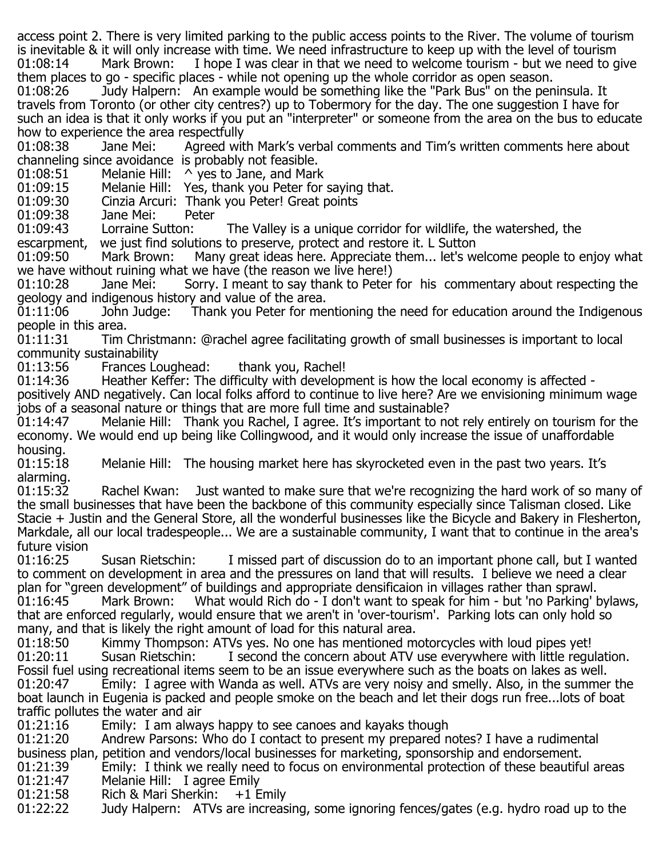access point 2. There is very limited parking to the public access points to the River. The volume of tourism is inevitable & it will only increase with time. We need infrastructure to keep up with the level of tourism 01:08:14 Mark Brown: I hope I was clear in that we need to welcome tourism - but we need to give

them places to go - specific places - while not opening up the whole corridor as open season.<br>01:08:26 Judy Halpern: An example would be something like the "Park Bus" on the per Judy Halpern: An example would be something like the "Park Bus" on the peninsula. It travels from Toronto (or other city centres?) up to Tobermory for the day. The one suggestion I have for such an idea is that it only works if you put an "interpreter" or someone from the area on the bus to educate

how to experience the area respectfully Agreed with Mark's verbal comments and Tim's written comments here about channeling since avoidance is probably not feasible.

01:08:51 Melanie Hill:  $\land$  yes to Jane, and Mark<br>01:09:15 Melanie Hill: Yes, thank you Peter for

01:09:15 Melanie Hill: Yes, thank you Peter for saying that.<br>01:09:30 Cinzia Arcuri: Thank you Peter! Great points

01:09:30 Cinzia Arcuri: Thank you Peter! Great points<br>01:09:38 Jane Mei: Peter

01:09:38 Jane Mei: Peter<br>01:09:43 Lorraine Sutton:

01:09:43 Lorraine Sutton: The Valley is a unique corridor for wildlife, the watershed, the escarpment, we just find solutions to preserve, protect and restore it. L Sutton

escarpment, we just find solutions to preserve, protect and restore it. L Sutton<br>01:09:50 Mark Brown: Many great ideas here. Appreciate them... let's w Many great ideas here. Appreciate them... let's welcome people to enjoy what we have without ruining what we have (the reason we live here!)<br>01:10:28 Jane Mei: Sorry. I meant to say thank to Peter

Sorry. I meant to say thank to Peter for his commentary about respecting the geology and indigenous history and value of the area.

Thank you Peter for mentioning the need for education around the Indigenous people in this area.<br>01:11:31 Tim

Tim Christmann: @rachel agree facilitating growth of small businesses is important to local community sustainability

01:13:56 Frances Loughead: thank you, Rachel!<br>01:14:36 Heather Keffer: The difficulty with developr

Heather Keffer: The difficulty with development is how the local economy is affected positively AND negatively. Can local folks afford to continue to live here? Are we envisioning minimum wage

jobs of a seasonal nature or things that are more full time and sustainable?<br>01:14:47 Melanie Hill: Thank you Rachel, I agree, It's important to no Melanie Hill: Thank you Rachel, I agree. It's important to not rely entirely on tourism for the economy. We would end up being like Collingwood, and it would only increase the issue of unaffordable housing.<br>01:15:18

Melanie Hill: The housing market here has skyrocketed even in the past two years. It's alarming.<br>01:15:32

Rachel Kwan: Just wanted to make sure that we're recognizing the hard work of so many of the small businesses that have been the backbone of this community especially since Talisman closed. Like Stacie + Justin and the General Store, all the wonderful businesses like the Bicycle and Bakery in Flesherton, Markdale, all our local tradespeople... We are a sustainable community, I want that to continue in the area's future vision<br>01:16:25

Susan Rietschin: I missed part of discussion do to an important phone call, but I wanted to comment on development in area and the pressures on land that will results. I believe we need a clear plan for "green development" of buildings and appropriate densificaion in villages rather than sprawl.<br>01:16:45 Mark Brown: What would Rich do - I don't want to speak for him - but 'no Parking' l What would Rich do - I don't want to speak for him - but 'no Parking' bylaws, that are enforced regularly, would ensure that we aren't in 'over-tourism'. Parking lots can only hold so

many, and that is likely the right amount of load for this natural area.<br>01:18:50 Kimmy Thompson: ATVs yes. No one has mentioned m 01:18:50 Kimmy Thompson: ATVs yes. No one has mentioned motorcycles with loud pipes yet!<br>01:20:11 Susan Rietschin: I second the concern about ATV use everywhere with little regu I second the concern about ATV use everywhere with little regulation. Fossil fuel using recreational items seem to be an issue everywhere such as the boats on lakes as well.<br>01:20:47 Emily: I agree with Wanda as well. ATVs are very noisy and smelly. Also, in the summer Emily: I agree with Wanda as well. ATVs are very noisy and smelly. Also, in the summer the boat launch in Eugenia is packed and people smoke on the beach and let their dogs run free...lots of boat

traffic pollutes the water and air 01:21:16 Emily: I am always happy to see canoes and kayaks though<br>01:21:20 Andrew Parsons: Who do I contact to present my prepared n

Andrew Parsons: Who do I contact to present my prepared notes? I have a rudimental

- business plan, petition and vendors/local businesses for marketing, sponsorship and endorsement.<br>01:21:39 The Emily: I think we really need to focus on environmental protection of these beautifu 01:21:39 Emily: I think we really need to focus on environmental protection of these beautiful areas 01:21:47 01:21:47 Melanie Hill: I agree Emily<br>01:21:58 Rich & Mari Sherkin: +1 Emily
- 01:21:58 Rich & Mari Sherkin:<br>01:22:22 Judy Halpern: ATVs

Judy Halpern: ATVs are increasing, some ignoring fences/gates (e.g. hydro road up to the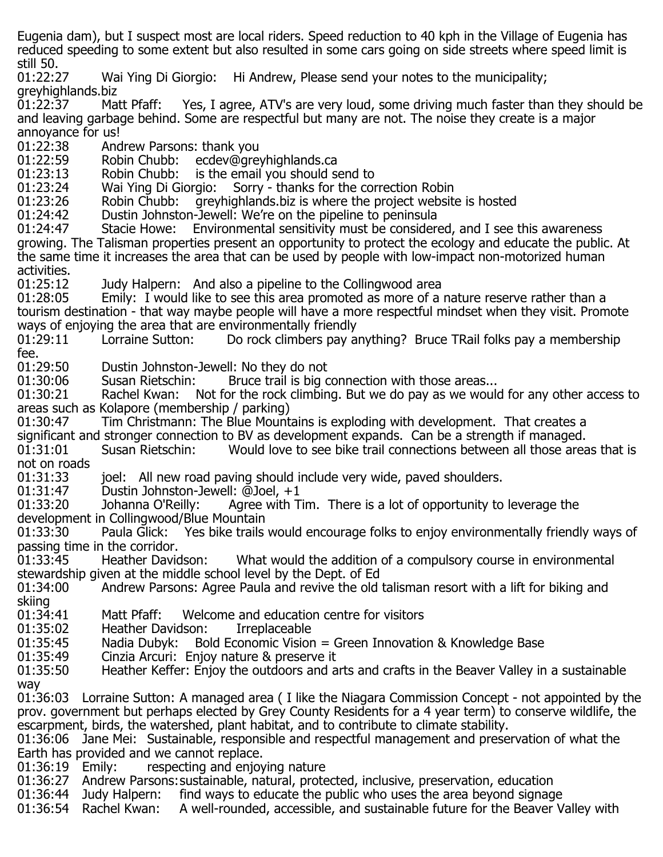Eugenia dam), but I suspect most are local riders. Speed reduction to 40 kph in the Village of Eugenia has reduced speeding to some extent but also resulted in some cars going on side streets where speed limit is still 50.<br>01:22:27

Wai Ying Di Giorgio: Hi Andrew, Please send your notes to the municipality; greyhighlands.biz<br>01:22:37 Matt Pfaff:

Yes, I agree, ATV's are very loud, some driving much faster than they should be and leaving garbage behind. Some are respectful but many are not. The noise they create is a major

annoyance for us!<br>01:22:38 And 01:22:38 Andrew Parsons: thank you<br>01:22:59 Robin Chubb: ecdev@gre

01:22:59 Robin Chubb: ecdev@greyhighlands.ca<br>01:23:13 Robin Chubb: is the email you should s

01:23:13 Robin Chubb: is the email you should send to<br>01:23:24 Wai Ying Di Giorgio: Sorry - thanks for the cor

01:23:24 Wai Ying Di Giorgio: Sorry - thanks for the correction Robin<br>01:23:26 Robin Chubb: greyhighlands.biz is where the project website

01:23:26 Robin Chubb: greyhighlands.biz is where the project website is hosted<br>01:24:42 Dustin Johnston-Jewell: We're on the pipeline to peninsula

01:24:42 Dustin Johnston-Jewell: We're on the pipeline to peninsula<br>01:24:47 Stacie Howe: Environmental sensitivity must be consider

Environmental sensitivity must be considered, and I see this awareness growing. The Talisman properties present an opportunity to protect the ecology and educate the public. At the same time it increases the area that can be used by people with low-impact non-motorized human

activities.<br>01:25:12

01:25:12 Judy Halpern: And also a pipeline to the Collingwood area<br>01:28:05 Emily: I would like to see this area promoted as more of a Emily: I would like to see this area promoted as more of a nature reserve rather than a tourism destination - that way maybe people will have a more respectful mindset when they visit. Promote ways of enjoying the area that are environmentally friendly<br>01:29:11 Lorraine Sutton: Do rock climbers pay a

Do rock climbers pay anything? Bruce TRail folks pay a membership

fee.<br>01:29:50 01:29:50 Dustin Johnston-Jewell: No they do not<br>01:30:06 Susan Rietschin: Bruce trail is big o

01:30:06 Susan Rietschin: Bruce trail is big connection with those areas...<br>01:30:21 Rachel Kwan: Not for the rock climbing. But we do pay as we woul

Not for the rock climbing. But we do pay as we would for any other access to areas such as Kolapore (membership / parking)<br>01:30:47 Tim Christmann: The Blue Mount

Tim Christmann: The Blue Mountains is exploding with development. That creates a

significant and stronger connection to BV as development expands. Can be a strength if managed.<br>01:31:01 Susan Rietschin: Would love to see bike trail connections between all those area Would love to see bike trail connections between all those areas that is not on roads<br>01:31:33

01:31:33 ioel: All new road paving should include very wide, paved shoulders.<br>01:31:47 Dustin Johnston-Jewell: @Joel, +1

01:31:47 Dustin Johnston-Jewell: @Joel, +1<br>01:33:20 Johanna O'Reilly: Agree with T Agree with Tim. There is a lot of opportunity to leverage the development in Collingwood/Blue Mountain

Yes bike trails would encourage folks to enjoy environmentally friendly ways of passing time in the corridor.<br>01:33:45 Heather Davidson:

What would the addition of a compulsory course in environmental stewardship given at the middle school level by the Dept. of Ed

Andrew Parsons: Agree Paula and revive the old talisman resort with a lift for biking and skiing<br>01:34:41

01:34:41 Matt Pfaff: Welcome and education centre for visitors<br>01:35:02 Heather Davidson: Irreplaceable

01:35:02 Heather Davidson:<br>01:35:45 Nadia Dubyk: Bol

01:35:45 Madia Dubyk: Bold Economic Vision = Green Innovation & Knowledge Base<br>01:35:49 Cinzia Arcuri: Eniov nature & preserve it

01:35:49 Cinzia Arcuri: Enjoy nature & preserve it

Heather Keffer: Enjoy the outdoors and arts and crafts in the Beaver Valley in a sustainable way

01:36:03 Lorraine Sutton: A managed area ( I like the Niagara Commission Concept - not appointed by the prov. government but perhaps elected by Grey County Residents for a 4 year term) to conserve wildlife, the escarpment, birds, the watershed, plant habitat, and to contribute to climate stability.

01:36:06 Jane Mei: Sustainable, responsible and respectful management and preservation of what the Earth has provided and we cannot replace.<br>01:36:19 Emily: respecting and enjoy

respecting and enjoying nature

01:36:27 Andrew Parsons: sustainable, natural, protected, inclusive, preservation, education<br>01:36:44 Judy Halpern: find ways to educate the public who uses the area beyond signag

01:36:44 Judy Halpern: find ways to educate the public who uses the area beyond signage<br>01:36:54 Rachel Kwan: A well-rounded, accessible, and sustainable future for the Beaver V

A well-rounded, accessible, and sustainable future for the Beaver Valley with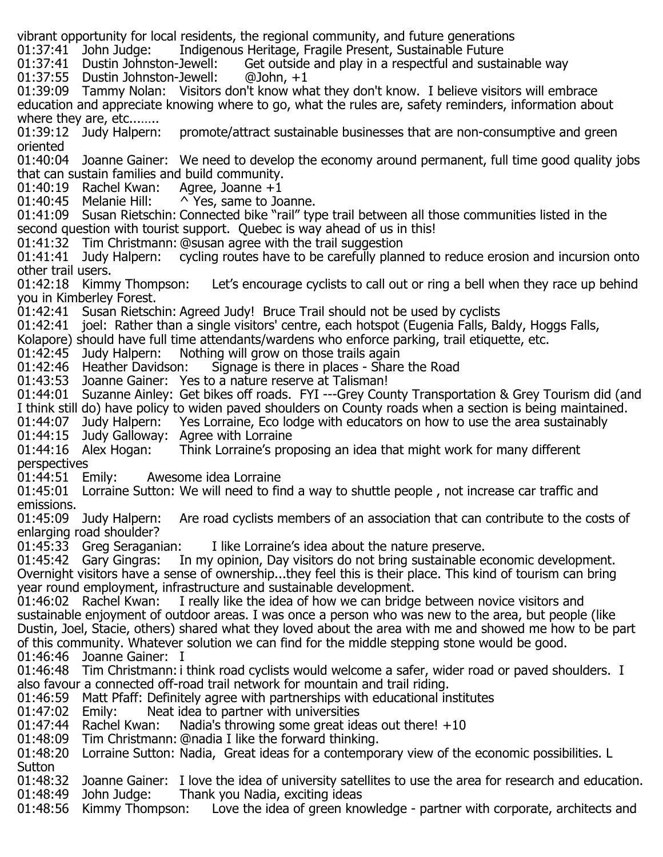vibrant opportunity for local residents, the regional community, and future generations<br>01:37:41 John Judge: Indigenous Heritage, Fragile Present, Sustainable Future

01:37:41 John Judge: Indigenous Heritage, Fragile Present, Sustainable Future<br>01:37:41 Dustin Johnston-Jewell: Get outside and play in a respectful and susta Get outside and play in a respectful and sustainable way  $@John, +1$ 

01:37:55 Dustin Johnston-Jewell:

01:39:09 Tammy Nolan: Visitors don't know what they don't know. I believe visitors will embrace education and appreciate knowing where to go, what the rules are, safety reminders, information about where they are, etc........<br>01:39:12 Judy Halpern:

promote/attract sustainable businesses that are non-consumptive and green oriented

01:40:04 Joanne Gainer: We need to develop the economy around permanent, full time good quality jobs that can sustain families and build community.<br>01:40:19 Rachel Kwan: Agree, Joanne +1

01:40:19 Rachel Kwan:<br>01:40:45 Melanie Hill:

 $\wedge$  Yes, same to Joanne.

01:41:09 Susan Rietschin: Connected bike "rail" type trail between all those communities listed in the second question with tourist support. Quebec is way ahead of us in this!

01:41:32 Tim Christmann: @susan agree with the trail suggestion<br>01:41:41 Judy Halpern: cycling routes have to be carefully plan

cycling routes have to be carefully planned to reduce erosion and incursion onto

other trail users.<br>01:42:18 Kimmy Thompson: Let's encourage cyclists to call out or ring a bell when they race up behind you in Kimberley Forest.

01:42:41 Susan Rietschin: Agreed Judy! Bruce Trail should not be used by cyclists

01:42:41 joel: Rather than a single visitors' centre, each hotspot (Eugenia Falls, Baldy, Hoggs Falls,

Kolapore) should have full time attendants/wardens who enforce parking, trail etiquette, etc.<br>01:42:45 Judy Halpern: Nothing will grow on those trails again

01:42:45 Judy Halpern: Nothing will grow on those trails again<br>01:42:46 Heather Davidson: Signage is there in places - Share

Signage is there in places - Share the Road

01:43:53 Joanne Gainer: Yes to a nature reserve at Talisman!

01:44:01 Suzanne Ainley: Get bikes off roads. FYI ---Grey County Transportation & Grey Tourism did (and I think still do) have policy to widen paved shoulders on County roads when a section is being maintained.<br>01:44:07 Judy Halpern: Yes Lorraine, Eco lodge with educators on how to use the area sustainably

Yes Lorraine, Eco lodge with educators on how to use the area sustainably

01:44:15 Judy Galloway: Agree with Lorraine<br>01:44:16 Alex Hogan: Think Lorraine's prop

Think Lorraine's proposing an idea that might work for many different perspectives<br>01:44:51 Emily:

Awesome idea Lorraine

01:45:01 Lorraine Sutton: We will need to find a way to shuttle people , not increase car traffic and emissions.<br>01:45:09 Judy Halpern:

Are road cyclists members of an association that can contribute to the costs of enlarging road shoulder?<br>01:45:33 Greg Seraganian:

01:45:33 Greg Seraganian: Ilike Lorraine's idea about the nature preserve.<br>01:45:42 Gary Gingras: In my opinion, Day visitors do not bring sustainable e In my opinion, Day visitors do not bring sustainable economic development. Overnight visitors have a sense of ownership...they feel this is their place. This kind of tourism can bring year round employment, infrastructure and sustainable development.<br>01:46:02 Rachel Kwan: I really like the idea of how we can bridge

I really like the idea of how we can bridge between novice visitors and sustainable enjoyment of outdoor areas. I was once a person who was new to the area, but people (like Dustin, Joel, Stacie, others) shared what they loved about the area with me and showed me how to be part of this community. Whatever solution we can find for the middle stepping stone would be good. 01:46:46 Joanne Gainer: I

01:46:48 Tim Christmann:i think road cyclists would welcome a safer, wider road or paved shoulders. I also favour a connected off-road trail network for mountain and trail riding.

01:46:59 Matt Pfaff: Definitely agree with partnerships with educational institutes<br>01:47:02 Emily: Reat idea to partner with universities

01:47:02 Emily: Neat idea to partner with universities<br>01:47:44 Rachel Kwan: Nadia's throwing some great ide

01:47:44 Rachel Kwan: Nadia's throwing some great ideas out there!  $+10$ <br>01:48:09 Tim Christmann: @nadia I like the forward thinking.

Tim Christmann: @nadia I like the forward thinking.

01:48:20 Lorraine Sutton: Nadia, Great ideas for a contemporary view of the economic possibilities. L

Sutton<br>01:48:32 01:48:32 Joanne Gainer: I love the idea of university satellites to use the area for research and education.<br>01:48:49 John Judge: Thank you Nadia, exciting ideas 01:48:49 John Judge: Thank you Nadia, exciting ideas<br>01:48:56 Kimmy Thompson: Love the idea of green kno

Love the idea of green knowledge - partner with corporate, architects and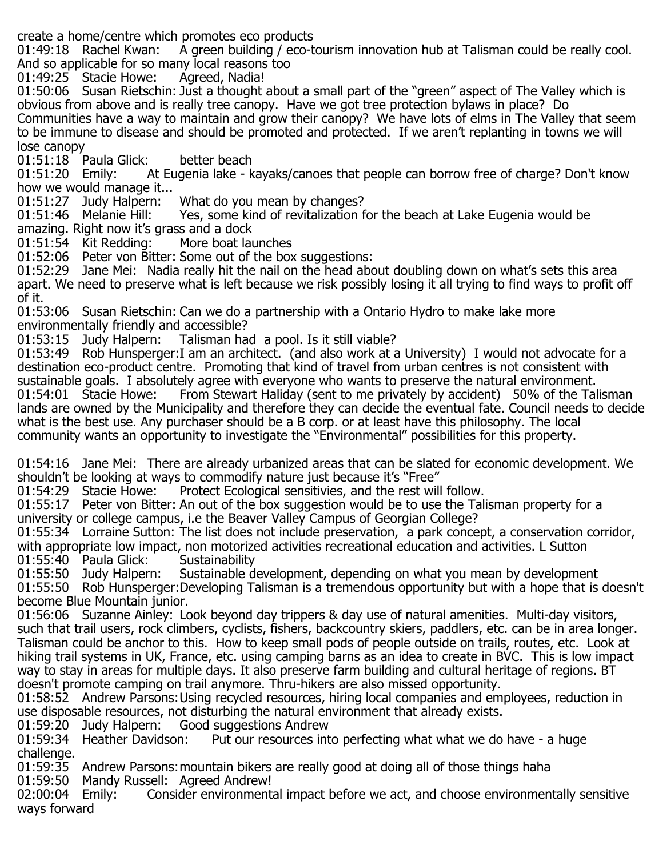create a home/centre which promotes eco products

A green building / eco-tourism innovation hub at Talisman could be really cool. And so applicable for so many local reasons too<br>01:49:25 Stacie Howe: Agreed, Nadia!

01:49:25 Stacie Howe:

01:50:06 Susan Rietschin: Just a thought about a small part of the "green" aspect of The Valley which is obvious from above and is really tree canopy. Have we got tree protection bylaws in place? Do Communities have a way to maintain and grow their canopy? We have lots of elms in The Valley that seem to be immune to disease and should be promoted and protected. If we aren't replanting in towns we will lose canopy

01:51:18 Paula Glick: better beach<br>01:51:20 Emily: At Eugenia lake - k

At Eugenia lake - kayaks/canoes that people can borrow free of charge? Don't know how we would manage it...<br>01:51:27 Judy Halpern:

01:51:27 Judy Halpern: What do you mean by changes?<br>01:51:46 Melanie Hill: Yes, some kind of revitalization f

Yes, some kind of revitalization for the beach at Lake Eugenia would be amazing. Right now it's grass and a dock<br>01:51:54 Kit Redding: More boat launches

 $01:51:54$  Kit Redding:

01:52:06 Peter von Bitter: Some out of the box suggestions:

01:52:29 Jane Mei: Nadia really hit the nail on the head about doubling down on what's sets this area apart. We need to preserve what is left because we risk possibly losing it all trying to find ways to profit off of it.

01:53:06 Susan Rietschin: Can we do a partnership with a Ontario Hydro to make lake more

environmentally friendly and accessible?<br>01:53:15 Judy Halpern: Talisman ha Talisman had a pool. Is it still viable?

01:53:49 Rob Hunsperger:I am an architect. (and also work at a University) I would not advocate for a destination eco-product centre. Promoting that kind of travel from urban centres is not consistent with sustainable goals. I absolutely agree with everyone who wants to preserve the natural environment.<br>01:54:01 Stacie Howe: From Stewart Haliday (sent to me privately by accident) 50% of the Tal From Stewart Haliday (sent to me privately by accident) 50% of the Talisman lands are owned by the Municipality and therefore they can decide the eventual fate. Council needs to decide what is the best use. Any purchaser should be a B corp. or at least have this philosophy. The local community wants an opportunity to investigate the "Environmental" possibilities for this property.

01:54:16 Jane Mei: There are already urbanized areas that can be slated for economic development. We

shouldn't be looking at ways to commodify nature just because it's "Free"<br>01:54:29 Stacie Howe: Protect Ecological sensitivies, and the rest wil Protect Ecological sensitivies, and the rest will follow.

01:55:17 Peter von Bitter: An out of the box suggestion would be to use the Talisman property for a university or college campus, i.e the Beaver Valley Campus of Georgian College?

01:55:34 Lorraine Sutton: The list does not include preservation, a park concept, a conservation corridor, with appropriate low impact, non motorized activities recreational education and activities. L Sutton<br>01:55:40 Paula Glick: Sustainability

01:55:40 Paula Glick:<br>01:55:50 Judy Halpern: Sustainable development, depending on what you mean by development 01:55:50 Rob Hunsperger:Developing Talisman is a tremendous opportunity but with a hope that is doesn't become Blue Mountain junior.

01:56:06 Suzanne Ainley: Look beyond day trippers & day use of natural amenities. Multi-day visitors, such that trail users, rock climbers, cyclists, fishers, backcountry skiers, paddlers, etc. can be in area longer. Talisman could be anchor to this. How to keep small pods of people outside on trails, routes, etc. Look at hiking trail systems in UK, France, etc. using camping barns as an idea to create in BVC. This is low impact way to stay in areas for multiple days. It also preserve farm building and cultural heritage of regions. BT doesn't promote camping on trail anymore. Thru-hikers are also missed opportunity.

01:58:52 Andrew Parsons:Using recycled resources, hiring local companies and employees, reduction in use disposable resources, not disturbing the natural environment that already exists.<br>01:59:20 Judy Halpern: Good suggestions Andrew

01:59:20 Judy Halpern: Good suggestions Andrew<br>01:59:34 Heather Davidson: Put our resources int

Put our resources into perfecting what what we do have - a huge challenge.

01:59:35 Andrew Parsons:mountain bikers are really good at doing all of those things haha

01:59:50 Mandy Russell: Agreed Andrew!<br>02:00:04 Emily: Consider environment

Consider environmental impact before we act, and choose environmentally sensitive ways forward